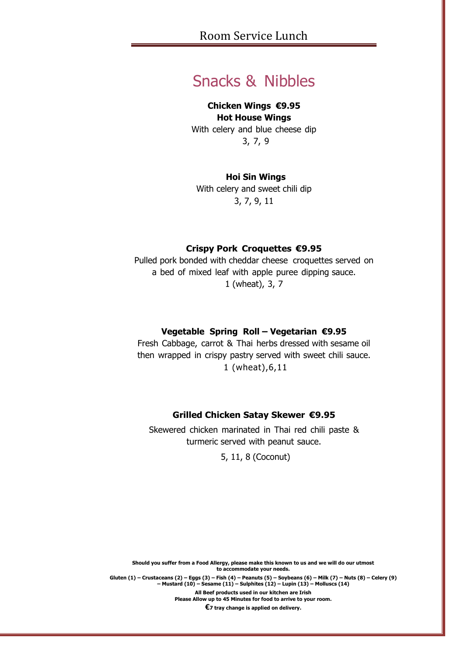# Snacks & Nibbles

#### **Chicken Wings €9.95 Hot House Wings**

With celery and blue cheese dip 3, 7, 9

### **Hoi Sin Wings**

With celery and sweet chili dip 3, 7, 9, 11

### **Crispy Pork Croquettes €9.95**

Pulled pork bonded with cheddar cheese croquettes served on a bed of mixed leaf with apple puree dipping sauce. 1 (wheat), 3, 7

# **Vegetable Spring Roll – Vegetarian €9.95**

Fresh Cabbage, carrot & Thai herbs dressed with sesame oil then wrapped in crispy pastry served with sweet chili sauce. 1 (wheat),6,11

# **Grilled Chicken Satay Skewer €9.95**

Skewered chicken marinated in Thai red chili paste & turmeric served with peanut sauce.

5, 11, 8 (Coconut)

**Should you suffer from a Food Allergy, please make this known to us and we will do our utmost to accommodate your needs.**

Gluten (1) – Crustaceans (2) – Eggs (3) – Fish (4) – Peanuts (5) – Soybeans (6) – Milk (7) – Nuts (8) – Celery (9)<br>— Mustard (10) – Sesame (11) – Sulphites (12) – Lupin (13) – Molluscs (14)

**All Beef products used in our kitchen are Irish Please Allow up to 45 Minutes for food to arrive to your room.** 

**€7 tray change is applied on delivery.**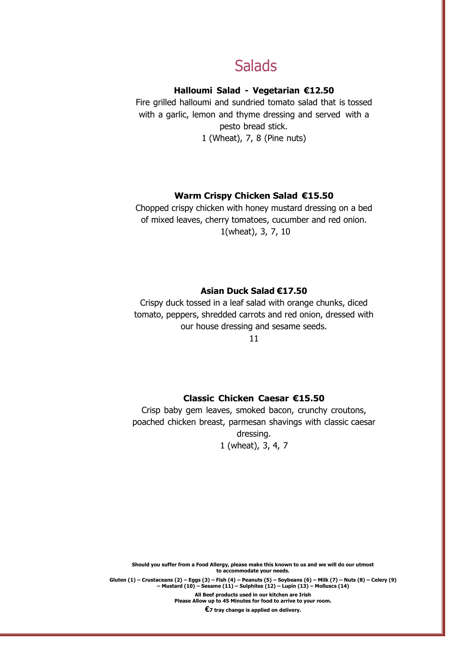# **Salads**

# **Halloumi Salad - Vegetarian €12.50**

Fire grilled halloumi and sundried tomato salad that is tossed with a garlic, lemon and thyme dressing and served with a pesto bread stick. 1 (Wheat), 7, 8 (Pine nuts)

### **Warm Crispy Chicken Salad €15.50**

Chopped crispy chicken with honey mustard dressing on a bed of mixed leaves, cherry tomatoes, cucumber and red onion. 1(wheat), 3, 7, 10

#### **Asian Duck Salad €17.50**

Crispy duck tossed in a leaf salad with orange chunks, diced tomato, peppers, shredded carrots and red onion, dressed with our house dressing and sesame seeds.

11

### **Classic Chicken Caesar €15.50**

Crisp baby gem leaves, smoked bacon, crunchy croutons, poached chicken breast, parmesan shavings with classic caesar dressing. 1 (wheat), 3, 4, 7

**Should you suffer from a Food Allergy, please make this known to us and we will do our utmost to accommodate your needs.**

Gluten (1) - Crustaceans (2) - Eggs (3) - Fish (4) - Peanuts (5) - Soybeans (6) - Milk (7) - Nuts (8) - Celery (9) **– Mustard (10) – Sesame (11) – Sulphites (12) – Lupin (13) – Molluscs (14)**

**All Beef products used in our kitchen are Irish Please Allow up to 45 Minutes for food to arrive to your room. €7 tray change is applied on delivery.**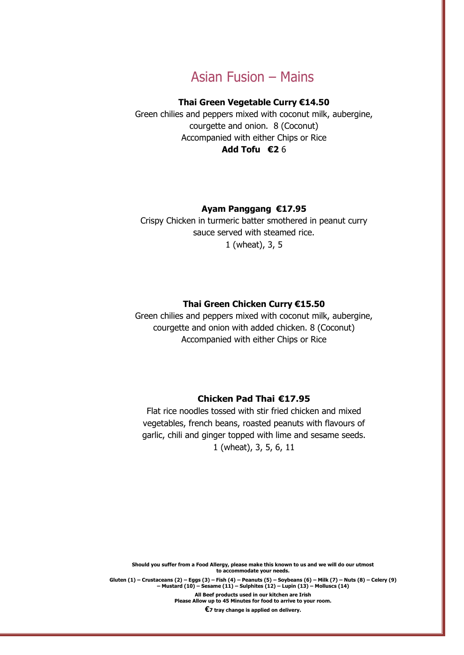# Asian Fusion – Mains

### **Thai Green Vegetable Curry €14.50**

Green chilies and peppers mixed with coconut milk, aubergine, courgette and onion. 8 (Coconut) Accompanied with either Chips or Rice **Add Tofu €2** 6

#### **Ayam Panggang €17.95**

Crispy Chicken in turmeric batter smothered in peanut curry sauce served with steamed rice. 1 (wheat), 3, 5

#### **Thai Green Chicken Curry €15.50**

Green chilies and peppers mixed with coconut milk, aubergine, courgette and onion with added chicken. 8 (Coconut) Accompanied with either Chips or Rice

#### **Chicken Pad Thai €17.95**

Flat rice noodles tossed with stir fried chicken and mixed vegetables, french beans, roasted peanuts with flavours of garlic, chili and ginger topped with lime and sesame seeds. 1 (wheat), 3, 5, 6, 11

**Should you suffer from a Food Allergy, please make this known to us and we will do our utmost to accommodate your needs.**

Gluten (1) - Crustaceans (2) - Eggs (3) - Fish (4) - Peanuts (5) - Soybeans (6) - Milk (7) - Nuts (8) - Celery (9) **– Mustard (10) – Sesame (11) – Sulphites (12) – Lupin (13) – Molluscs (14)**

> **All Beef products used in our kitchen are Irish Please Allow up to 45 Minutes for food to arrive to your room. €7 tray change is applied on delivery.**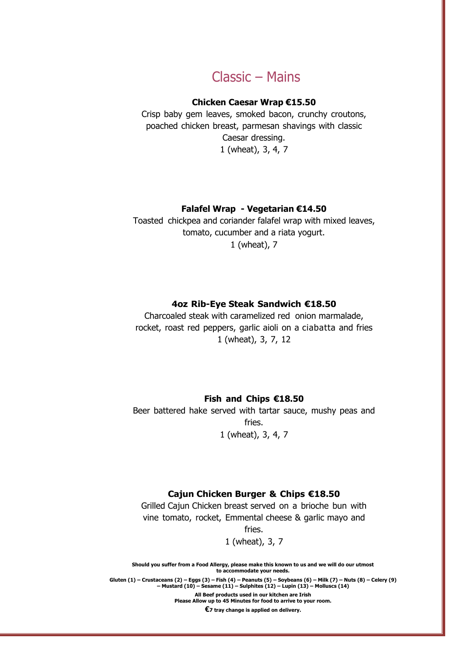# Classic – Mains

### **Chicken Caesar Wrap €15.50**

Crisp baby gem leaves, smoked bacon, crunchy croutons, poached chicken breast, parmesan shavings with classic Caesar dressing. 1 (wheat), 3, 4, 7

#### **Falafel Wrap - Vegetarian €14.50**

Toasted chickpea and coriander falafel wrap with mixed leaves, tomato, cucumber and a riata yogurt. 1 (wheat), 7

#### **4oz Rib-Eye Steak Sandwich €18.50**

Charcoaled steak with caramelized red onion marmalade, rocket, roast red peppers, garlic aioli on a ciabatta and fries 1 (wheat), 3, 7, 12

**Fish and Chips €18.50**

Beer battered hake served with tartar sauce, mushy peas and fries. 1 (wheat), 3, 4, 7

#### **Cajun Chicken Burger & Chips €18.50**

Grilled Cajun Chicken breast served on a brioche bun with vine tomato, rocket, Emmental cheese & garlic mayo and fries.

1 (wheat), 3, 7

**Should you suffer from a Food Allergy, please make this known to us and we will do our utmost to accommodate your needs.**

Gluten (1) - Crustaceans (2) - Eggs (3) - Fish (4) - Peanuts (5) - Soybeans (6) - Milk (7) - Nuts (8) - Celery (9) **– Mustard (10) – Sesame (11) – Sulphites (12) – Lupin (13) – Molluscs (14)**

**All Beef products used in our kitchen are Irish Please Allow up to 45 Minutes for food to arrive to your room. €7 tray change is applied on delivery.**